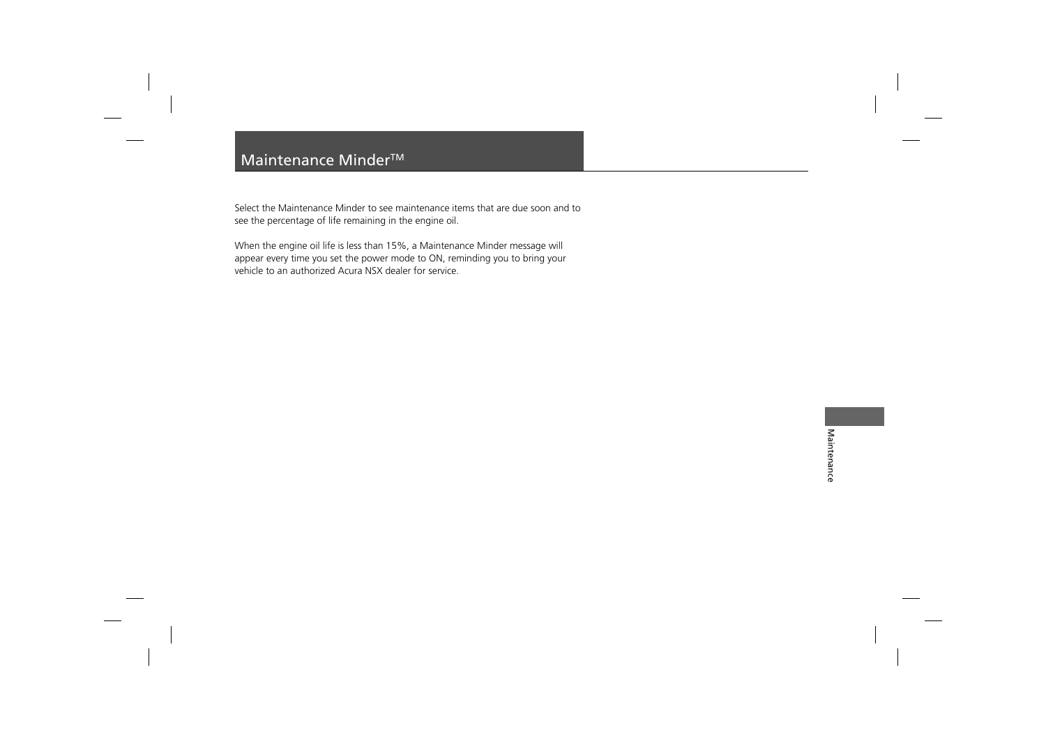# Maintenance Minder<sup>™</sup>

Select the Maintenance Minder to see maintenance items that are due soon and to see the percentage of life remaining in the engine oil.

When the engine oil life is less than 15%, a Maintenance Minder message will appear every time you set the power mode to ON, reminding you to bring your vehicle to an authorized Acura NSX dealer for service.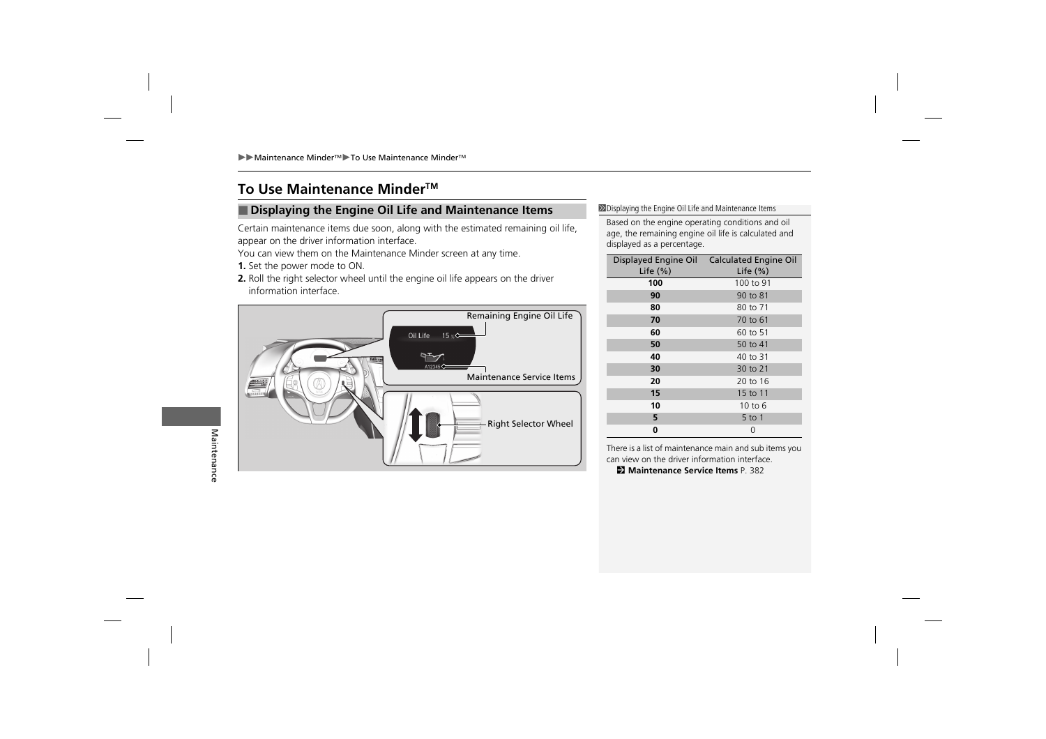# **To Use Maintenance MinderTM**

## **IDisplaying the Engine Oil Life and Maintenance Items** 2Displaying the Engine Oil Life and Maintenance Items

Certain maintenance items due soon, along with the estimated remaining oil life, appear on the driver information interface.

You can view them on the Maintenance Minder screen at any time.

- **1.** Set the power mode to ON.
- **2.** Roll the right selector wheel until the engine oil life appears on the driver information interface.



Based on the engine operating conditions and oil age, the remaining engine oil life is calculated and displayed as a percentage.

| Displayed Engine Oil<br>Life $(%)$ | <b>Calculated Engine Oil</b><br>Life $(\%)$ |  |
|------------------------------------|---------------------------------------------|--|
| 100                                | 100 to 91                                   |  |
| 90                                 | 90 to 81                                    |  |
| 80                                 | 80 to 71                                    |  |
| 70                                 | 70 to 61                                    |  |
| 60                                 | 60 to 51                                    |  |
| 50                                 | 50 to 41                                    |  |
| 40                                 | 40 to 31                                    |  |
| 30                                 | 30 to 21                                    |  |
| 20                                 | 20 to 16                                    |  |
| 15                                 | 15 to 11                                    |  |
| 10                                 | 10 to 6                                     |  |
| 5                                  | 5 to 1                                      |  |
| 0                                  | 0                                           |  |

There is a list of maintenance main and sub items you can view on the driver information interface.

**EX Maintenance Service Items** P. 382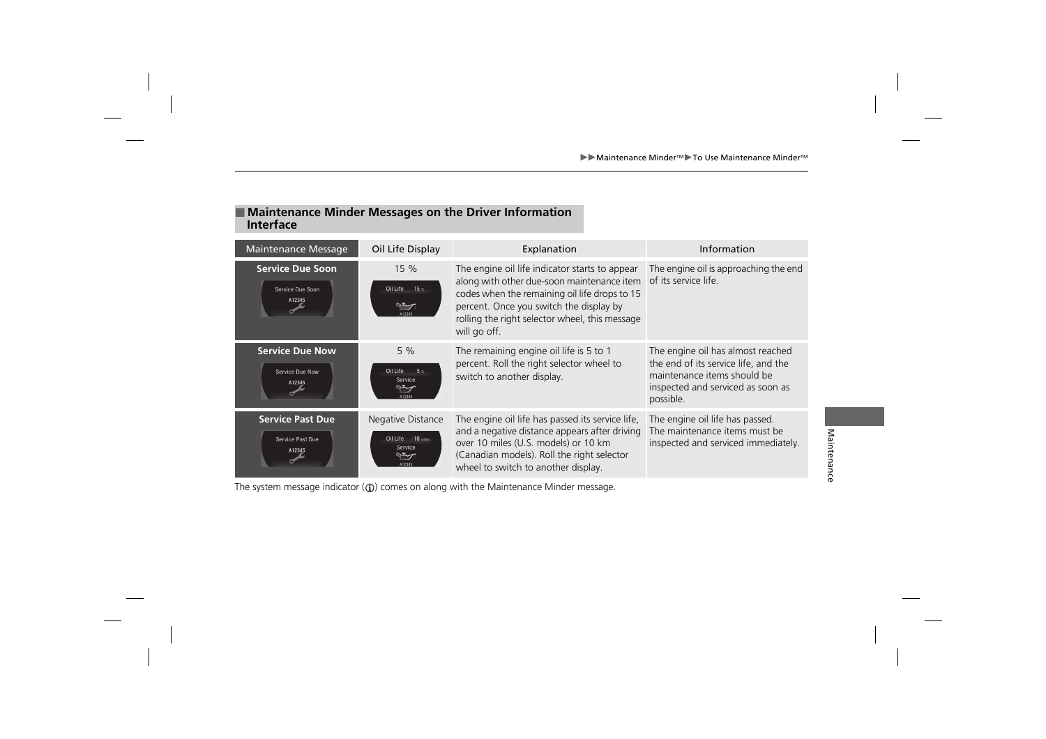## ■ Maintenance Minder Messages on the Driver Information **Interface**

| Maintenance Message                                   | Oil Life Display                                                       | Explanation                                                                                                                                                                                                                                                | Information                                                                                                                                                |
|-------------------------------------------------------|------------------------------------------------------------------------|------------------------------------------------------------------------------------------------------------------------------------------------------------------------------------------------------------------------------------------------------------|------------------------------------------------------------------------------------------------------------------------------------------------------------|
| <b>Service Due Soon</b><br>Service Due Soon<br>A12345 | 15 %<br>Oil Life<br>$15^\circ$<br>ゼ<br>412345                          | The engine oil life indicator starts to appear<br>along with other due-soon maintenance item<br>codes when the remaining oil life drops to 15<br>percent. Once you switch the display by<br>rolling the right selector wheel, this message<br>will go off. | The engine oil is approaching the end<br>of its service life.                                                                                              |
| <b>Service Due Now</b><br>Service Due Now<br>A12345   | 5%<br>Oil Life<br>5 <sub>8</sub><br>Service<br>ት<br>A12345             | The remaining engine oil life is 5 to 1<br>percent. Roll the right selector wheel to<br>switch to another display.                                                                                                                                         | The engine oil has almost reached<br>the end of its service life, and the<br>maintenance items should be<br>inspected and serviced as soon as<br>possible. |
| <b>Service Past Due</b><br>Service Past Due<br>A12345 | Negative Distance<br>Oil Life -10 miles<br>Service<br>$\tau$<br>A12345 | The engine oil life has passed its service life,<br>and a negative distance appears after driving<br>over 10 miles (U.S. models) or 10 km<br>(Canadian models). Roll the right selector<br>wheel to switch to another display.                             | The engine oil life has passed.<br>The maintenance items must be<br>inspected and serviced immediately.                                                    |

The system message indicator  $(\mathbb{G})$  comes on along with the Maintenance Minder message.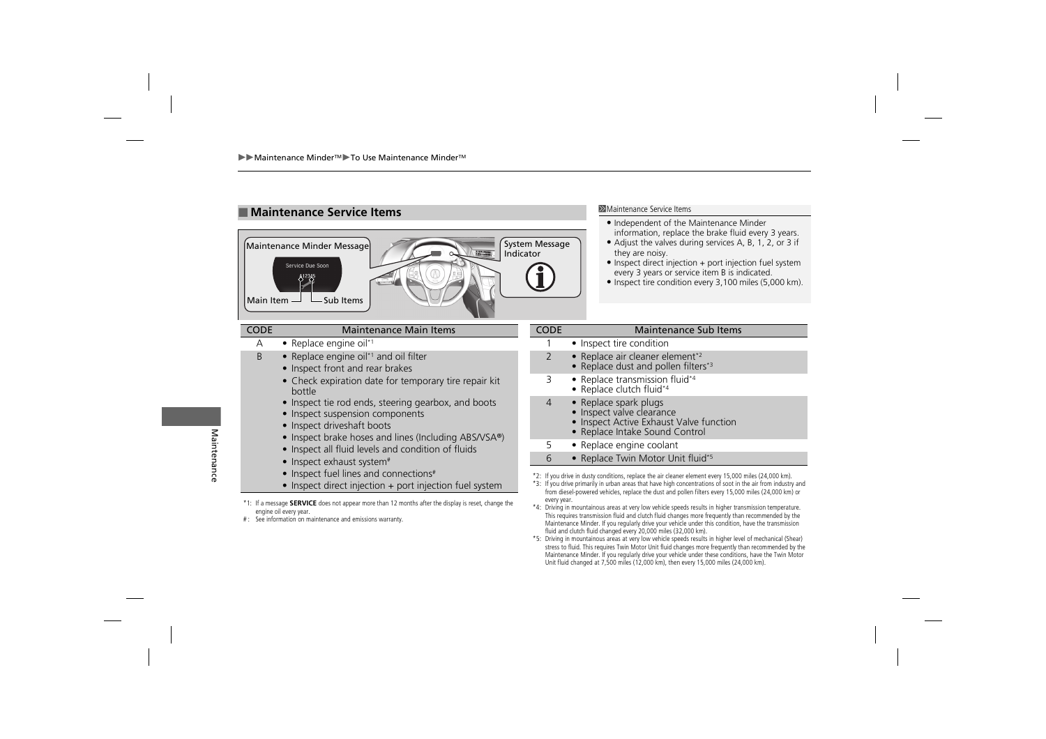

- Independent of the Maintenance Minder information, replace the brake fluid every 3 years.
- Adjust the valves during services A, B, 1, 2, or 3 if they are noisy.
- Inspect direct injection + port injection fuel system every 3 years or service item B is indicated.
- Inspect tire condition every 3,100 miles (5,000 km).

### CODE Maintenance Main Items

- A Replace engine oil<sup>\*1</sup>
- $B \rightarrow$  Replace engine oil<sup>\*1</sup> and oil filter
	- Inspect front and rear brakes
	- Check expiration date for temporary tire repair kit bottle
	- Inspect tie rod ends, steering gearbox, and boots
	- Inspect suspension components
	- Inspect driveshaft boots
	- Inspect brake hoses and lines (Including ABS/VSA®)
	- Inspect all fluid levels and condition of fluids
	- Inspect exhaust system<sup>#</sup>
	- Inspect fuel lines and connections<sup>#</sup>
	- Inspect direct injection + port injection fuel system
- \*1: If a message **SERVICE** does not appear more than 12 months after the display is reset, change the engine oil every year.
- # : See information on maintenance and emissions warranty.

#### CODE Maintenance Sub Items • Inspect tire condition 2 • Replace air cleaner element<sup>\*2</sup> • Replace dust and pollen filters\*<sup>3</sup> 3 • Replace transmission fluid\*4 • Replace clutch fluid\*4 4 • Replace spark plugs • Inspect valve clearance • Inspect Active Exhaust Valve function • Replace Intake Sound Control

- 5 Replace engine coolant
- 6 Replace Twin Motor Unit fluid\*5
- \*2: If you drive in dusty conditions, replace the air cleaner element every 15,000 miles (24,000 km).
- \*3: If you drive primarily in urban areas that have high concentrations of soot in the air from industry and from diesel-powered vehicles, replace the dust and pollen filters every 15,000 miles (24,000 km) or every year.
- \*4: Driving in mountainous areas at very low vehicle speeds results in higher transmission temperature. This requires transmission fluid and clutch fluid changes more frequently than recommended by the Maintenance Minder. If you regularly drive your vehicle under this condition, have the transmission fluid and clutch fluid changed every 20,000 miles (32,000 km).
- \*5: Driving in mountainous areas at very low vehicle speeds results in higher level of mechanical (Shear) stress to fluid. This requires Twin Motor Unit fluid changes more frequently than recommended by the Maintenance Minder. If you regularly drive your vehicle under these conditions, have the Twin Motor Unit fluid changed at 7,500 miles (12,000 km), then every 15,000 miles (24,000 km).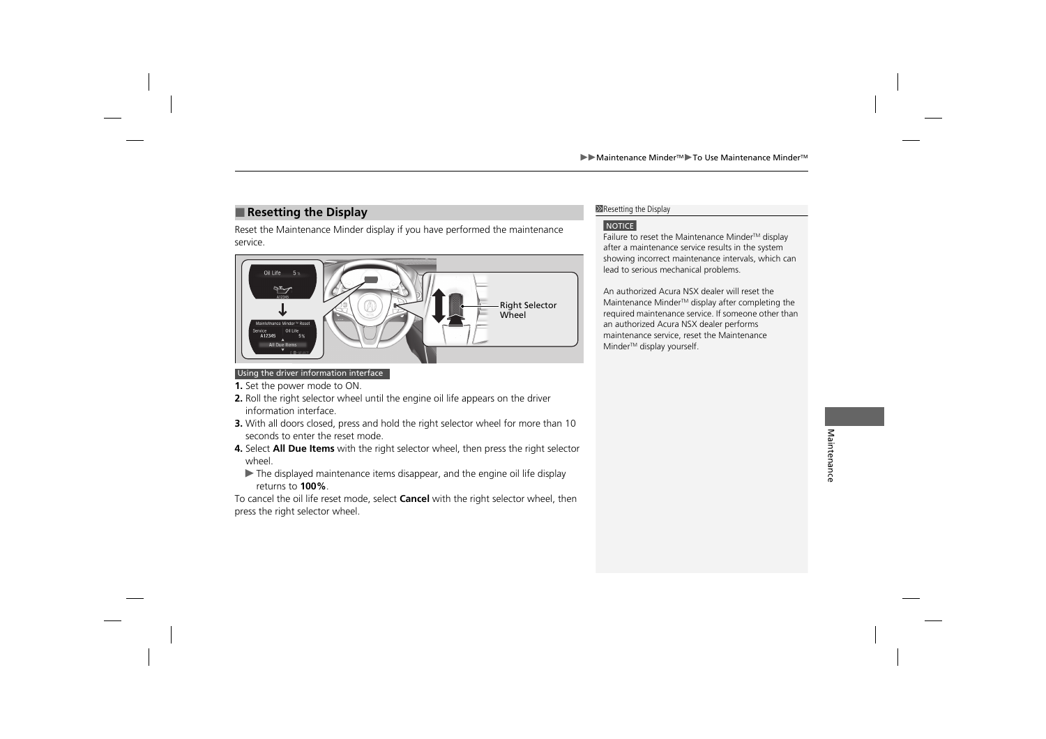# **Example 28 Allen Example 28 Allen Example 28 Allen Example 28 Allen Example 28 Allen Example 28 Allen Example 28 Allen Example 28 Allen Example 28 Allen Example 28 Allen Example 28 Allen Example 28 Allen Example 28 Allen**

Reset the Maintenance Minder display if you have performed the maintenance service.



#### Using the driver information interface

- **1.** Set the power mode to ON.
- **2.** Roll the right selector wheel until the engine oil life appears on the driver information interface.
- **3.** With all doors closed, press and hold the right selector wheel for more than 10 seconds to enter the reset mode.
- **4.** Select **All Due Items** with the right selector wheel, then press the right selector wheel.
	- $\blacktriangleright$  The displayed maintenance items disappear, and the engine oil life display returns to **100%**.

To cancel the oil life reset mode, select **Cancel** with the right selector wheel, then press the right selector wheel.

### **NOTICE**

Failure to reset the Maintenance Minder™ display after a maintenance service results in the system showing incorrect maintenance intervals, which can lead to serious mechanical problems.

An authorized Acura NSX dealer will reset the Maintenance Minder™ display after completing the required maintenance service. If someone other than an authorized Acura NSX dealer performs maintenance service, reset the Maintenance Minder<sup>™</sup> display yourself.